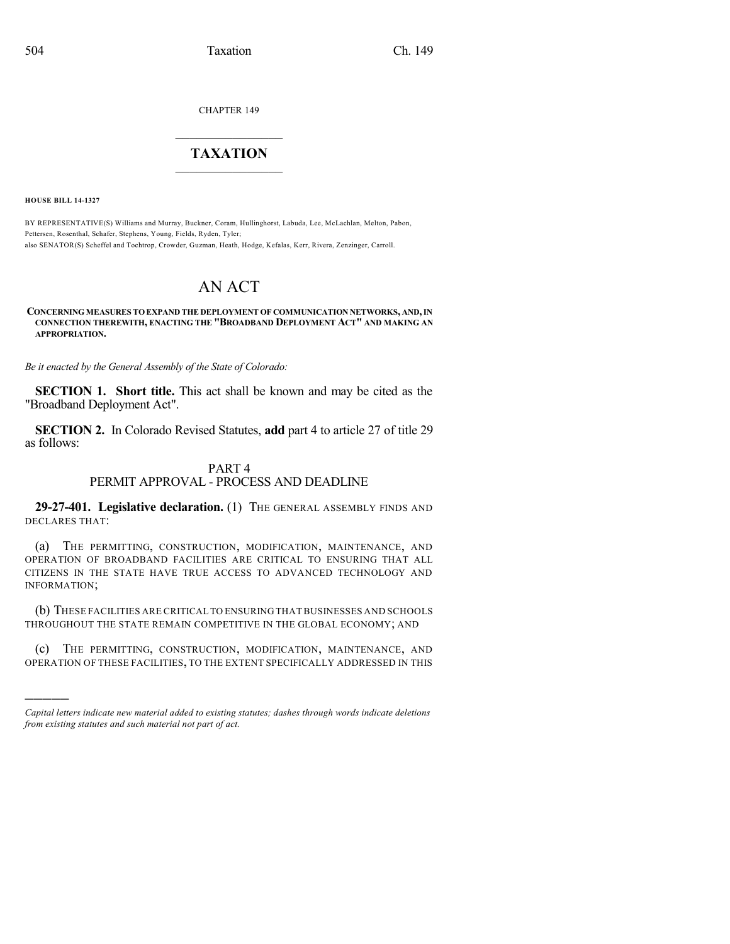CHAPTER 149

## $\overline{\phantom{a}}$  . The set of the set of the set of the set of the set of the set of the set of the set of the set of the set of the set of the set of the set of the set of the set of the set of the set of the set of the set o **TAXATION**  $\_$

**HOUSE BILL 14-1327**

)))))

BY REPRESENTATIVE(S) Williams and Murray, Buckner, Coram, Hullinghorst, Labuda, Lee, McLachlan, Melton, Pabon, Pettersen, Rosenthal, Schafer, Stephens, Young, Fields, Ryden, Tyler; also SENATOR(S) Scheffel and Tochtrop, Crowder, Guzman, Heath, Hodge, Kefalas, Kerr, Rivera, Zenzinger, Carroll.

# AN ACT

#### **CONCERNING MEASURES TO EXPAND THE DEPLOYMENT OF COMMUNICATION NETWORKS, AND,IN CONNECTION THEREWITH, ENACTING THE "BROADBAND DEPLOYMENT ACT" AND MAKING AN APPROPRIATION.**

*Be it enacted by the General Assembly of the State of Colorado:*

**SECTION 1. Short title.** This act shall be known and may be cited as the "Broadband Deployment Act".

**SECTION 2.** In Colorado Revised Statutes, **add** part 4 to article 27 of title 29 as follows:

#### PART 4

### PERMIT APPROVAL - PROCESS AND DEADLINE

**29-27-401. Legislative declaration.** (1) THE GENERAL ASSEMBLY FINDS AND DECLARES THAT:

(a) THE PERMITTING, CONSTRUCTION, MODIFICATION, MAINTENANCE, AND OPERATION OF BROADBAND FACILITIES ARE CRITICAL TO ENSURING THAT ALL CITIZENS IN THE STATE HAVE TRUE ACCESS TO ADVANCED TECHNOLOGY AND INFORMATION;

(b) THESE FACILITIES ARE CRITICAL TO ENSURINGTHAT BUSINESSES AND SCHOOLS THROUGHOUT THE STATE REMAIN COMPETITIVE IN THE GLOBAL ECONOMY; AND

(c) THE PERMITTING, CONSTRUCTION, MODIFICATION, MAINTENANCE, AND OPERATION OF THESE FACILITIES, TO THE EXTENT SPECIFICALLY ADDRESSED IN THIS

*Capital letters indicate new material added to existing statutes; dashes through words indicate deletions from existing statutes and such material not part of act.*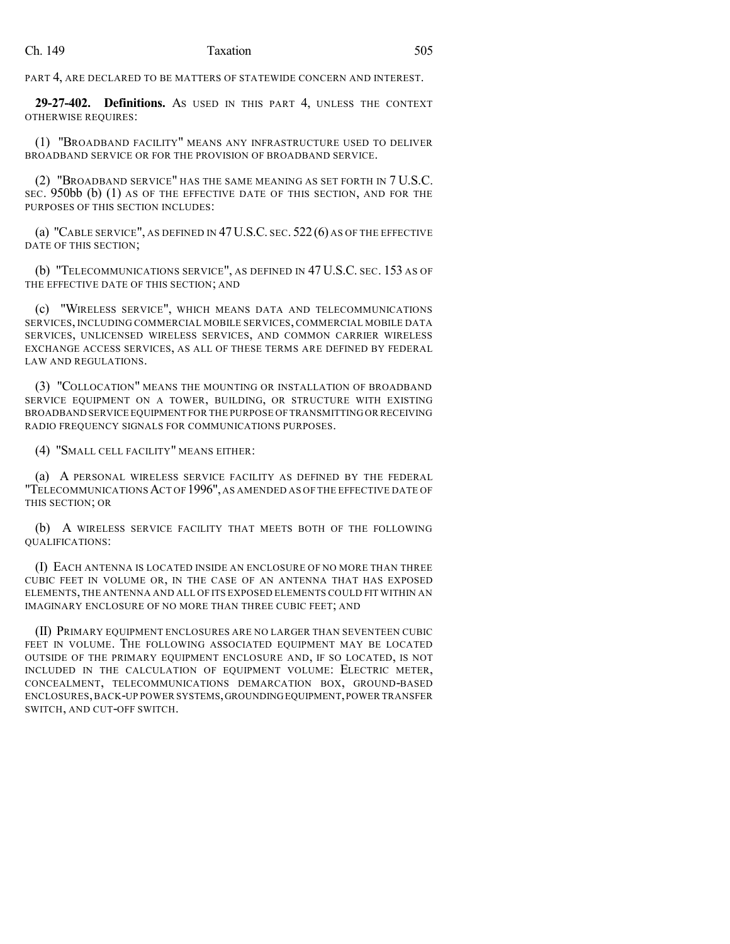PART 4, ARE DECLARED TO BE MATTERS OF STATEWIDE CONCERN AND INTEREST.

**29-27-402. Definitions.** AS USED IN THIS PART 4, UNLESS THE CONTEXT OTHERWISE REQUIRES:

(1) "BROADBAND FACILITY" MEANS ANY INFRASTRUCTURE USED TO DELIVER BROADBAND SERVICE OR FOR THE PROVISION OF BROADBAND SERVICE.

(2) "BROADBAND SERVICE" HAS THE SAME MEANING AS SET FORTH IN 7 U.S.C. SEC. 950bb (b) (1) AS OF THE EFFECTIVE DATE OF THIS SECTION, AND FOR THE PURPOSES OF THIS SECTION INCLUDES:

(a) "CABLE SERVICE", AS DEFINED IN 47U.S.C. SEC. 522(6) AS OF THE EFFECTIVE DATE OF THIS SECTION;

(b) "TELECOMMUNICATIONS SERVICE", AS DEFINED IN 47 U.S.C. SEC. 153 AS OF THE EFFECTIVE DATE OF THIS SECTION; AND

(c) "WIRELESS SERVICE", WHICH MEANS DATA AND TELECOMMUNICATIONS SERVICES, INCLUDING COMMERCIAL MOBILE SERVICES, COMMERCIAL MOBILE DATA SERVICES, UNLICENSED WIRELESS SERVICES, AND COMMON CARRIER WIRELESS EXCHANGE ACCESS SERVICES, AS ALL OF THESE TERMS ARE DEFINED BY FEDERAL LAW AND REGULATIONS.

(3) "COLLOCATION" MEANS THE MOUNTING OR INSTALLATION OF BROADBAND SERVICE EQUIPMENT ON A TOWER, BUILDING, OR STRUCTURE WITH EXISTING BROADBAND SERVICE EQUIPMENT FOR THE PURPOSE OF TRANSMITTING OR RECEIVING RADIO FREQUENCY SIGNALS FOR COMMUNICATIONS PURPOSES.

(4) "SMALL CELL FACILITY" MEANS EITHER:

(a) A PERSONAL WIRELESS SERVICE FACILITY AS DEFINED BY THE FEDERAL "TELECOMMUNICATIONSACT OF 1996", AS AMENDED AS OF THE EFFECTIVE DATE OF THIS SECTION; OR

(b) A WIRELESS SERVICE FACILITY THAT MEETS BOTH OF THE FOLLOWING QUALIFICATIONS:

(I) EACH ANTENNA IS LOCATED INSIDE AN ENCLOSURE OF NO MORE THAN THREE CUBIC FEET IN VOLUME OR, IN THE CASE OF AN ANTENNA THAT HAS EXPOSED ELEMENTS, THE ANTENNA AND ALL OF ITS EXPOSED ELEMENTS COULD FIT WITHIN AN IMAGINARY ENCLOSURE OF NO MORE THAN THREE CUBIC FEET; AND

(II) PRIMARY EQUIPMENT ENCLOSURES ARE NO LARGER THAN SEVENTEEN CUBIC FEET IN VOLUME. THE FOLLOWING ASSOCIATED EQUIPMENT MAY BE LOCATED OUTSIDE OF THE PRIMARY EQUIPMENT ENCLOSURE AND, IF SO LOCATED, IS NOT INCLUDED IN THE CALCULATION OF EQUIPMENT VOLUME: ELECTRIC METER, CONCEALMENT, TELECOMMUNICATIONS DEMARCATION BOX, GROUND-BASED ENCLOSURES,BACK-UP POWER SYSTEMS,GROUNDINGEQUIPMENT,POWER TRANSFER SWITCH, AND CUT-OFF SWITCH.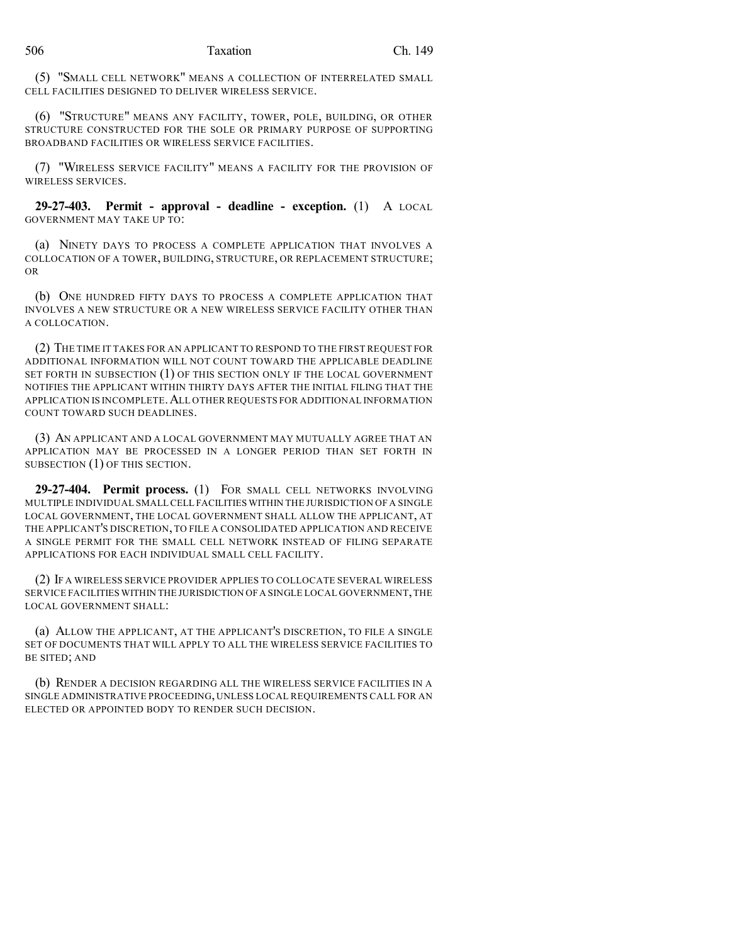(5) "SMALL CELL NETWORK" MEANS A COLLECTION OF INTERRELATED SMALL CELL FACILITIES DESIGNED TO DELIVER WIRELESS SERVICE.

(6) "STRUCTURE" MEANS ANY FACILITY, TOWER, POLE, BUILDING, OR OTHER STRUCTURE CONSTRUCTED FOR THE SOLE OR PRIMARY PURPOSE OF SUPPORTING BROADBAND FACILITIES OR WIRELESS SERVICE FACILITIES.

(7) "WIRELESS SERVICE FACILITY" MEANS A FACILITY FOR THE PROVISION OF WIRELESS SERVICES.

**29-27-403. Permit - approval - deadline - exception.** (1) A LOCAL GOVERNMENT MAY TAKE UP TO:

(a) NINETY DAYS TO PROCESS A COMPLETE APPLICATION THAT INVOLVES A COLLOCATION OF A TOWER, BUILDING, STRUCTURE, OR REPLACEMENT STRUCTURE; OR

(b) ONE HUNDRED FIFTY DAYS TO PROCESS A COMPLETE APPLICATION THAT INVOLVES A NEW STRUCTURE OR A NEW WIRELESS SERVICE FACILITY OTHER THAN A COLLOCATION.

(2) THE TIME IT TAKES FOR AN APPLICANT TO RESPOND TO THE FIRST REQUEST FOR ADDITIONAL INFORMATION WILL NOT COUNT TOWARD THE APPLICABLE DEADLINE SET FORTH IN SUBSECTION (1) OF THIS SECTION ONLY IF THE LOCAL GOVERNMENT NOTIFIES THE APPLICANT WITHIN THIRTY DAYS AFTER THE INITIAL FILING THAT THE APPLICATION IS INCOMPLETE.ALL OTHER REQUESTS FOR ADDITIONAL INFORMATION COUNT TOWARD SUCH DEADLINES.

(3) AN APPLICANT AND A LOCAL GOVERNMENT MAY MUTUALLY AGREE THAT AN APPLICATION MAY BE PROCESSED IN A LONGER PERIOD THAN SET FORTH IN SUBSECTION (1) OF THIS SECTION.

**29-27-404. Permit process.** (1) FOR SMALL CELL NETWORKS INVOLVING MULTIPLE INDIVIDUAL SMALL CELL FACILITIES WITHIN THE JURISDICTION OF A SINGLE LOCAL GOVERNMENT, THE LOCAL GOVERNMENT SHALL ALLOW THE APPLICANT, AT THE APPLICANT'S DISCRETION, TO FILE A CONSOLIDATED APPLICATION AND RECEIVE A SINGLE PERMIT FOR THE SMALL CELL NETWORK INSTEAD OF FILING SEPARATE APPLICATIONS FOR EACH INDIVIDUAL SMALL CELL FACILITY.

(2) IF A WIRELESS SERVICE PROVIDER APPLIES TO COLLOCATE SEVERAL WIRELESS SERVICE FACILITIES WITHIN THE JURISDICTION OF A SINGLE LOCAL GOVERNMENT, THE LOCAL GOVERNMENT SHALL:

(a) ALLOW THE APPLICANT, AT THE APPLICANT'S DISCRETION, TO FILE A SINGLE SET OF DOCUMENTS THAT WILL APPLY TO ALL THE WIRELESS SERVICE FACILITIES TO BE SITED; AND

(b) RENDER A DECISION REGARDING ALL THE WIRELESS SERVICE FACILITIES IN A SINGLE ADMINISTRATIVE PROCEEDING, UNLESS LOCAL REQUIREMENTS CALL FOR AN ELECTED OR APPOINTED BODY TO RENDER SUCH DECISION.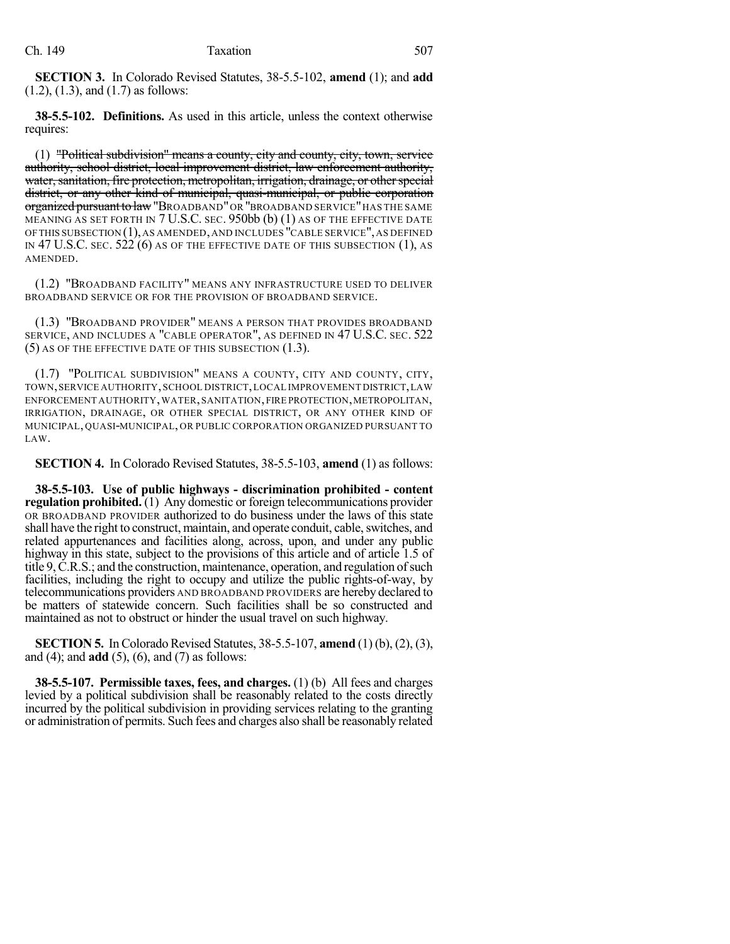**SECTION 3.** In Colorado Revised Statutes, 38-5.5-102, **amend** (1); and **add** (1.2), (1.3), and (1.7) as follows:

**38-5.5-102. Definitions.** As used in this article, unless the context otherwise requires:

(1) "Political subdivision" means a county, city and county, city, town, service authority, school district, local improvement district, law enforcement authority, water, sanitation, fire protection, metropolitan, irrigation, drainage, or other special district, or any other kind of municipal, quasi-municipal, or public corporation organized pursuant to law "BROADBAND" OR "BROADBAND SERVICE" HAS THE SAME MEANING AS SET FORTH IN 7 U.S.C. SEC. 950bb (b) (1) AS OF THE EFFECTIVE DATE OFTHIS SUBSECTION (1),AS AMENDED,AND INCLUDES "CABLE SERVICE",AS DEFINED IN 47 U.S.C. SEC. 522 (6) AS OF THE EFFECTIVE DATE OF THIS SUBSECTION (1), AS AMENDED.

(1.2) "BROADBAND FACILITY" MEANS ANY INFRASTRUCTURE USED TO DELIVER BROADBAND SERVICE OR FOR THE PROVISION OF BROADBAND SERVICE.

(1.3) "BROADBAND PROVIDER" MEANS A PERSON THAT PROVIDES BROADBAND SERVICE, AND INCLUDES A "CABLE OPERATOR", AS DEFINED IN 47 U.S.C. SEC. 522 (5) AS OF THE EFFECTIVE DATE OF THIS SUBSECTION (1.3).

(1.7) "POLITICAL SUBDIVISION" MEANS A COUNTY, CITY AND COUNTY, CITY, TOWN,SERVICE AUTHORITY,SCHOOL DISTRICT,LOCAL IMPROVEMENT DISTRICT,LAW ENFORCEMENT AUTHORITY,WATER,SANITATION,FIRE PROTECTION,METROPOLITAN, IRRIGATION, DRAINAGE, OR OTHER SPECIAL DISTRICT, OR ANY OTHER KIND OF MUNICIPAL, QUASI-MUNICIPAL, OR PUBLIC CORPORATION ORGANIZED PURSUANT TO LAW.

**SECTION 4.** In Colorado Revised Statutes, 38-5.5-103, **amend** (1) as follows:

**38-5.5-103. Use of public highways - discrimination prohibited - content regulation prohibited.** (1) Any domestic or foreign telecommunications provider OR BROADBAND PROVIDER authorized to do business under the laws of this state shall have the right to construct, maintain, and operate conduit, cable, switches, and related appurtenances and facilities along, across, upon, and under any public highway in this state, subject to the provisions of this article and of article 1.5 of title 9, C.R.S.; and the construction, maintenance, operation, and regulation of such facilities, including the right to occupy and utilize the public rights-of-way, by telecommunications providers AND BROADBAND PROVIDERS are hereby declared to be matters of statewide concern. Such facilities shall be so constructed and maintained as not to obstruct or hinder the usual travel on such highway.

**SECTION 5.** In Colorado Revised Statutes, 38-5.5-107, **amend** (1) (b), (2), (3), and (4); and **add** (5), (6), and (7) as follows:

**38-5.5-107. Permissible taxes, fees, and charges.** (1) (b) All fees and charges levied by a political subdivision shall be reasonably related to the costs directly incurred by the political subdivision in providing services relating to the granting or administration of permits. Such fees and charges also shall be reasonably related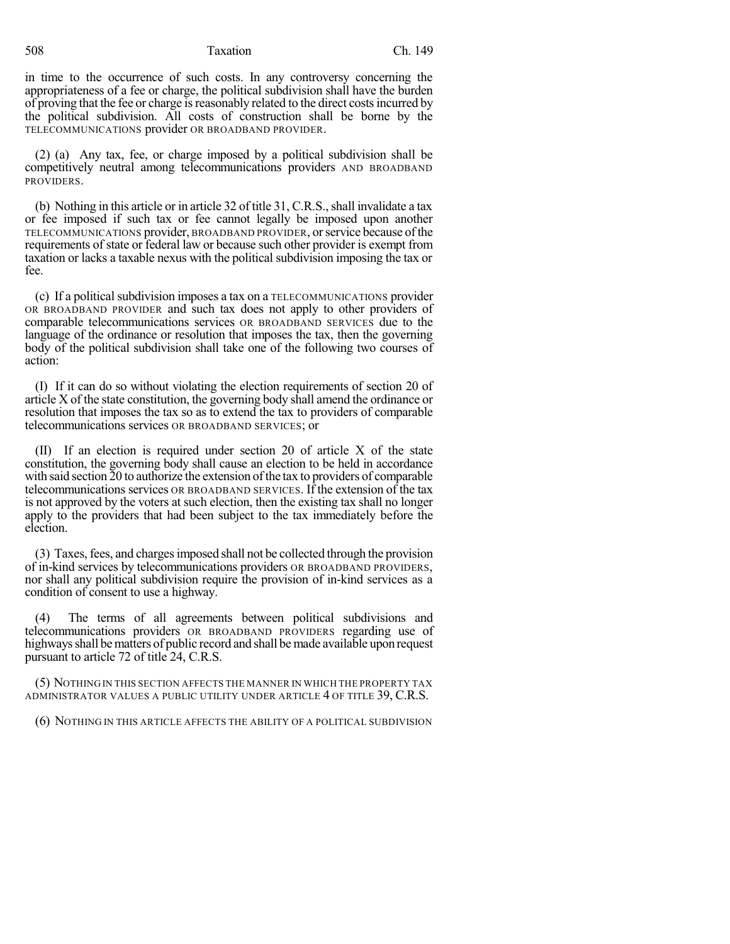#### 508 Taxation Ch. 149

in time to the occurrence of such costs. In any controversy concerning the appropriateness of a fee or charge, the political subdivision shall have the burden of proving that the fee or charge is reasonably related to the direct costs incurred by the political subdivision. All costs of construction shall be borne by the TELECOMMUNICATIONS provider OR BROADBAND PROVIDER.

(2) (a) Any tax, fee, or charge imposed by a political subdivision shall be competitively neutral among telecommunications providers AND BROADBAND PROVIDERS.

(b) Nothing in this article or in article 32 of title 31, C.R.S., shall invalidate a tax or fee imposed if such tax or fee cannot legally be imposed upon another TELECOMMUNICATIONS provider, BROADBAND PROVIDER, orservice because ofthe requirements of state or federal law or because such other provider is exempt from taxation or lacks a taxable nexus with the political subdivision imposing the tax or fee.

(c) If a politicalsubdivision imposes a tax on a TELECOMMUNICATIONS provider OR BROADBAND PROVIDER and such tax does not apply to other providers of comparable telecommunications services OR BROADBAND SERVICES due to the language of the ordinance or resolution that imposes the tax, then the governing body of the political subdivision shall take one of the following two courses of action:

(I) If it can do so without violating the election requirements of section 20 of article X of the state constitution, the governing body shall amend the ordinance or resolution that imposes the tax so as to extend the tax to providers of comparable telecommunications services OR BROADBAND SERVICES; or

(II) If an election is required under section 20 of article X of the state constitution, the governing body shall cause an election to be held in accordance with said section 20 to authorize the extension of the tax to providers of comparable telecommunications services OR BROADBAND SERVICES. If the extension of the tax is not approved by the voters at such election, then the existing tax shall no longer apply to the providers that had been subject to the tax immediately before the election.

(3) Taxes,fees, and chargesimposed shall not be collected through the provision of in-kind services by telecommunications providers OR BROADBAND PROVIDERS, nor shall any political subdivision require the provision of in-kind services as a condition of consent to use a highway.

(4) The terms of all agreements between political subdivisions and telecommunications providers OR BROADBAND PROVIDERS regarding use of highways shall be matters of public record and shall be made available upon request pursuant to article 72 of title 24, C.R.S.

(5) NOTHING IN THIS SECTION AFFECTS THE MANNER IN WHICH THE PROPERTY TAX ADMINISTRATOR VALUES A PUBLIC UTILITY UNDER ARTICLE 4 OF TITLE 39, C.R.S.

(6) NOTHING IN THIS ARTICLE AFFECTS THE ABILITY OF A POLITICAL SUBDIVISION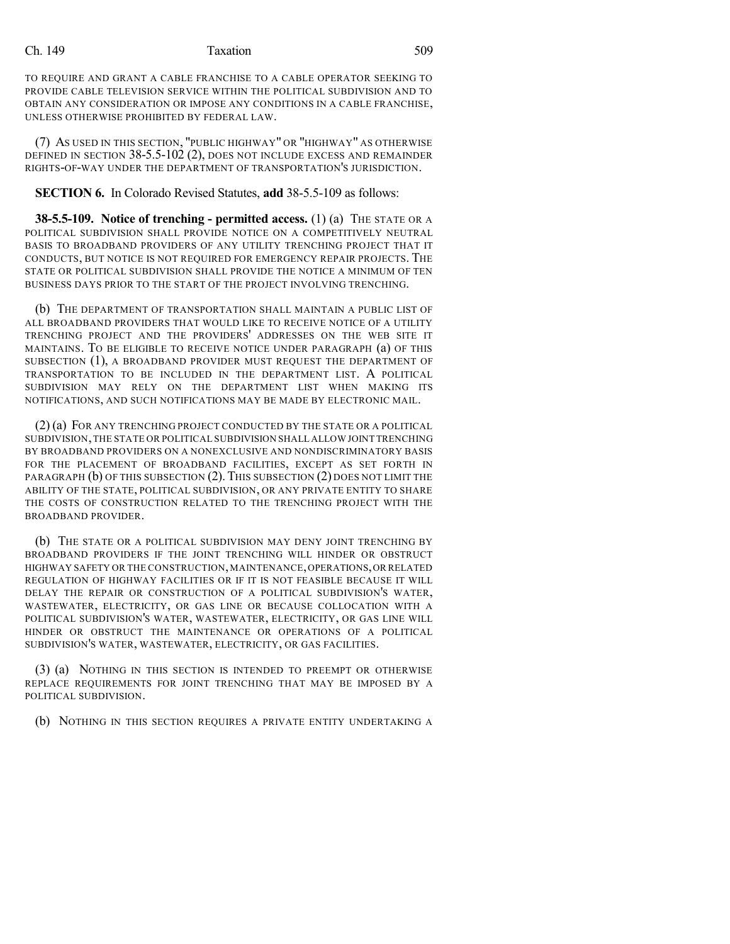#### Ch. 149 Taxation 509

TO REQUIRE AND GRANT A CABLE FRANCHISE TO A CABLE OPERATOR SEEKING TO PROVIDE CABLE TELEVISION SERVICE WITHIN THE POLITICAL SUBDIVISION AND TO OBTAIN ANY CONSIDERATION OR IMPOSE ANY CONDITIONS IN A CABLE FRANCHISE, UNLESS OTHERWISE PROHIBITED BY FEDERAL LAW.

(7) AS USED IN THIS SECTION, "PUBLIC HIGHWAY" OR "HIGHWAY" AS OTHERWISE DEFINED IN SECTION 38-5.5-102 (2), DOES NOT INCLUDE EXCESS AND REMAINDER RIGHTS-OF-WAY UNDER THE DEPARTMENT OF TRANSPORTATION'S JURISDICTION.

**SECTION 6.** In Colorado Revised Statutes, **add** 38-5.5-109 as follows:

**38-5.5-109. Notice of trenching - permitted access.** (1) (a) THE STATE OR A POLITICAL SUBDIVISION SHALL PROVIDE NOTICE ON A COMPETITIVELY NEUTRAL BASIS TO BROADBAND PROVIDERS OF ANY UTILITY TRENCHING PROJECT THAT IT CONDUCTS, BUT NOTICE IS NOT REQUIRED FOR EMERGENCY REPAIR PROJECTS. THE STATE OR POLITICAL SUBDIVISION SHALL PROVIDE THE NOTICE A MINIMUM OF TEN BUSINESS DAYS PRIOR TO THE START OF THE PROJECT INVOLVING TRENCHING.

(b) THE DEPARTMENT OF TRANSPORTATION SHALL MAINTAIN A PUBLIC LIST OF ALL BROADBAND PROVIDERS THAT WOULD LIKE TO RECEIVE NOTICE OF A UTILITY TRENCHING PROJECT AND THE PROVIDERS' ADDRESSES ON THE WEB SITE IT MAINTAINS. TO BE ELIGIBLE TO RECEIVE NOTICE UNDER PARAGRAPH (a) OF THIS SUBSECTION (1), A BROADBAND PROVIDER MUST REQUEST THE DEPARTMENT OF TRANSPORTATION TO BE INCLUDED IN THE DEPARTMENT LIST. A POLITICAL SUBDIVISION MAY RELY ON THE DEPARTMENT LIST WHEN MAKING ITS NOTIFICATIONS, AND SUCH NOTIFICATIONS MAY BE MADE BY ELECTRONIC MAIL.

(2) (a) FOR ANY TRENCHING PROJECT CONDUCTED BY THE STATE OR A POLITICAL SUBDIVISION,THE STATE OR POLITICAL SUBDIVISION SHALL ALLOW JOINT TRENCHING BY BROADBAND PROVIDERS ON A NONEXCLUSIVE AND NONDISCRIMINATORY BASIS FOR THE PLACEMENT OF BROADBAND FACILITIES, EXCEPT AS SET FORTH IN PARAGRAPH (b) OF THIS SUBSECTION (2). THIS SUBSECTION (2) DOES NOT LIMIT THE ABILITY OF THE STATE, POLITICAL SUBDIVISION, OR ANY PRIVATE ENTITY TO SHARE THE COSTS OF CONSTRUCTION RELATED TO THE TRENCHING PROJECT WITH THE BROADBAND PROVIDER.

(b) THE STATE OR A POLITICAL SUBDIVISION MAY DENY JOINT TRENCHING BY BROADBAND PROVIDERS IF THE JOINT TRENCHING WILL HINDER OR OBSTRUCT HIGHWAY SAFETY OR THE CONSTRUCTION,MAINTENANCE,OPERATIONS,OR RELATED REGULATION OF HIGHWAY FACILITIES OR IF IT IS NOT FEASIBLE BECAUSE IT WILL DELAY THE REPAIR OR CONSTRUCTION OF A POLITICAL SUBDIVISION'S WATER, WASTEWATER, ELECTRICITY, OR GAS LINE OR BECAUSE COLLOCATION WITH A POLITICAL SUBDIVISION'S WATER, WASTEWATER, ELECTRICITY, OR GAS LINE WILL HINDER OR OBSTRUCT THE MAINTENANCE OR OPERATIONS OF A POLITICAL SUBDIVISION'S WATER, WASTEWATER, ELECTRICITY, OR GAS FACILITIES.

(3) (a) NOTHING IN THIS SECTION IS INTENDED TO PREEMPT OR OTHERWISE REPLACE REQUIREMENTS FOR JOINT TRENCHING THAT MAY BE IMPOSED BY A POLITICAL SUBDIVISION.

(b) NOTHING IN THIS SECTION REQUIRES A PRIVATE ENTITY UNDERTAKING A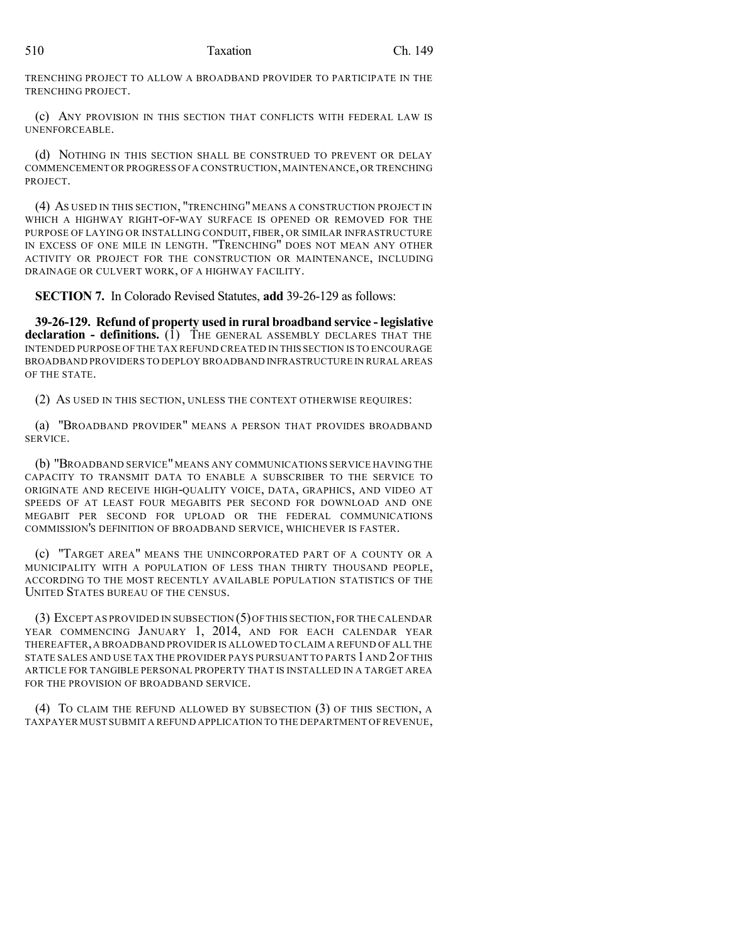TRENCHING PROJECT TO ALLOW A BROADBAND PROVIDER TO PARTICIPATE IN THE TRENCHING PROJECT.

(c) ANY PROVISION IN THIS SECTION THAT CONFLICTS WITH FEDERAL LAW IS UNENFORCEABLE.

(d) NOTHING IN THIS SECTION SHALL BE CONSTRUED TO PREVENT OR DELAY COMMENCEMENT OR PROGRESS OF A CONSTRUCTION,MAINTENANCE,OR TRENCHING PROJECT.

(4) AS USED IN THIS SECTION, "TRENCHING" MEANS A CONSTRUCTION PROJECT IN WHICH A HIGHWAY RIGHT-OF-WAY SURFACE IS OPENED OR REMOVED FOR THE PURPOSE OF LAYING OR INSTALLING CONDUIT, FIBER, OR SIMILAR INFRASTRUCTURE IN EXCESS OF ONE MILE IN LENGTH. "TRENCHING" DOES NOT MEAN ANY OTHER ACTIVITY OR PROJECT FOR THE CONSTRUCTION OR MAINTENANCE, INCLUDING DRAINAGE OR CULVERT WORK, OF A HIGHWAY FACILITY.

**SECTION 7.** In Colorado Revised Statutes, **add** 39-26-129 as follows:

**39-26-129. Refund of property used in rural broadband service - legislative declaration - definitions.** (1) THE GENERAL ASSEMBLY DECLARES THAT THE INTENDED PURPOSE OF THE TAX REFUND CREATED IN THIS SECTION IS TO ENCOURAGE BROADBAND PROVIDERS TO DEPLOY BROADBAND INFRASTRUCTURE IN RURAL AREAS OF THE STATE.

(2) AS USED IN THIS SECTION, UNLESS THE CONTEXT OTHERWISE REQUIRES:

(a) "BROADBAND PROVIDER" MEANS A PERSON THAT PROVIDES BROADBAND SERVICE.

(b) "BROADBAND SERVICE"MEANS ANY COMMUNICATIONS SERVICE HAVING THE CAPACITY TO TRANSMIT DATA TO ENABLE A SUBSCRIBER TO THE SERVICE TO ORIGINATE AND RECEIVE HIGH-QUALITY VOICE, DATA, GRAPHICS, AND VIDEO AT SPEEDS OF AT LEAST FOUR MEGABITS PER SECOND FOR DOWNLOAD AND ONE MEGABIT PER SECOND FOR UPLOAD OR THE FEDERAL COMMUNICATIONS COMMISSION'S DEFINITION OF BROADBAND SERVICE, WHICHEVER IS FASTER.

(c) "TARGET AREA" MEANS THE UNINCORPORATED PART OF A COUNTY OR A MUNICIPALITY WITH A POPULATION OF LESS THAN THIRTY THOUSAND PEOPLE, ACCORDING TO THE MOST RECENTLY AVAILABLE POPULATION STATISTICS OF THE UNITED STATES BUREAU OF THE CENSUS.

(3) EXCEPT AS PROVIDED IN SUBSECTION (5)OFTHIS SECTION, FOR THE CALENDAR YEAR COMMENCING JANUARY 1, 2014, AND FOR EACH CALENDAR YEAR THEREAFTER, A BROADBAND PROVIDER IS ALLOWED TO CLAIM A REFUND OF ALL THE STATE SALES AND USE TAX THE PROVIDER PAYS PURSUANT TO PARTS 1AND 2OF THIS ARTICLE FOR TANGIBLE PERSONAL PROPERTY THAT IS INSTALLED IN A TARGET AREA FOR THE PROVISION OF BROADBAND SERVICE.

(4) TO CLAIM THE REFUND ALLOWED BY SUBSECTION (3) OF THIS SECTION, A TAXPAYER MUST SUBMIT A REFUND APPLICATION TO THE DEPARTMENT OF REVENUE,